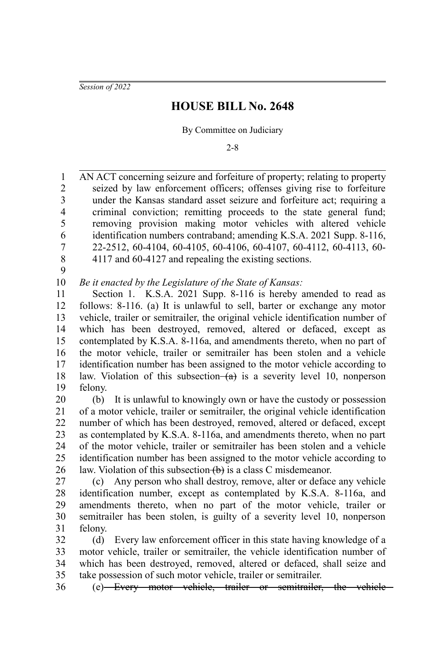*Session of 2022*

## **HOUSE BILL No. 2648**

By Committee on Judiciary

2-8

AN ACT concerning seizure and forfeiture of property; relating to property seized by law enforcement officers; offenses giving rise to forfeiture under the Kansas standard asset seizure and forfeiture act; requiring a criminal conviction; remitting proceeds to the state general fund; removing provision making motor vehicles with altered vehicle identification numbers contraband; amending K.S.A. 2021 Supp. 8-116, 22-2512, 60-4104, 60-4105, 60-4106, 60-4107, 60-4112, 60-4113, 60- 4117 and 60-4127 and repealing the existing sections. 1 2 3 4 5 6 7 8

9

*Be it enacted by the Legislature of the State of Kansas:* 10

Section 1. K.S.A. 2021 Supp. 8-116 is hereby amended to read as follows: 8-116. (a) It is unlawful to sell, barter or exchange any motor vehicle, trailer or semitrailer, the original vehicle identification number of which has been destroyed, removed, altered or defaced, except as contemplated by K.S.A. 8-116a, and amendments thereto, when no part of the motor vehicle, trailer or semitrailer has been stolen and a vehicle identification number has been assigned to the motor vehicle according to law. Violation of this subsection  $(a)$  is a severity level 10, nonperson felony. 11 12 13 14 15 16 17 18 19

(b) It is unlawful to knowingly own or have the custody or possession of a motor vehicle, trailer or semitrailer, the original vehicle identification number of which has been destroyed, removed, altered or defaced, except as contemplated by K.S.A. 8-116a, and amendments thereto, when no part of the motor vehicle, trailer or semitrailer has been stolen and a vehicle identification number has been assigned to the motor vehicle according to law. Violation of this subsection  $\left(\mathbf{b}\right)$  is a class C misdemeanor. 20 21 22 23 24 25 26

(c) Any person who shall destroy, remove, alter or deface any vehicle identification number, except as contemplated by K.S.A. 8-116a, and amendments thereto, when no part of the motor vehicle, trailer or semitrailer has been stolen, is guilty of a severity level 10, nonperson felony. 27 28 29 30 31

(d) Every law enforcement officer in this state having knowledge of a motor vehicle, trailer or semitrailer, the vehicle identification number of which has been destroyed, removed, altered or defaced, shall seize and take possession of such motor vehicle, trailer or semitrailer. 32 33 34 35

(e) Every motor vehicle, trailer or semitrailer, the vehicle 36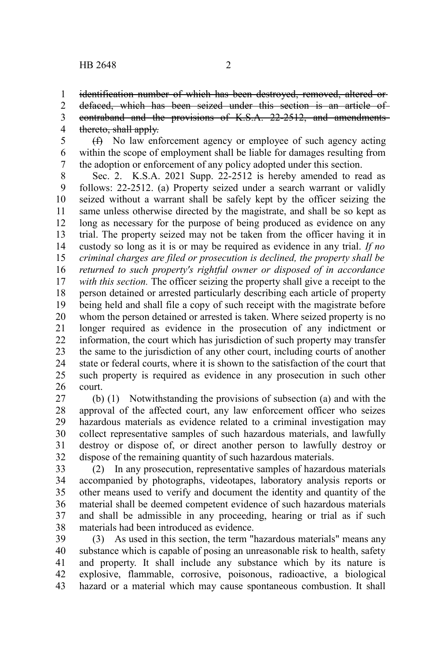identification number of which has been destroyed, removed, altered or defaced, which has been seized under this section is an article of contraband and the provisions of K.S.A. 22-2512, and amendments thereto, shall apply. 1 2 3 4

(f) No law enforcement agency or employee of such agency acting within the scope of employment shall be liable for damages resulting from the adoption or enforcement of any policy adopted under this section. 5 6 7

Sec. 2. K.S.A. 2021 Supp. 22-2512 is hereby amended to read as follows: 22-2512. (a) Property seized under a search warrant or validly seized without a warrant shall be safely kept by the officer seizing the same unless otherwise directed by the magistrate, and shall be so kept as long as necessary for the purpose of being produced as evidence on any trial. The property seized may not be taken from the officer having it in custody so long as it is or may be required as evidence in any trial. *If no criminal charges are filed or prosecution is declined, the property shall be returned to such property's rightful owner or disposed of in accordance with this section.* The officer seizing the property shall give a receipt to the person detained or arrested particularly describing each article of property being held and shall file a copy of such receipt with the magistrate before whom the person detained or arrested is taken. Where seized property is no longer required as evidence in the prosecution of any indictment or information, the court which has jurisdiction of such property may transfer the same to the jurisdiction of any other court, including courts of another state or federal courts, where it is shown to the satisfaction of the court that such property is required as evidence in any prosecution in such other court. 8 9 10 11 12 13 14 15 16 17 18 19 20 21 22 23 24 25 26

(b) (1) Notwithstanding the provisions of subsection (a) and with the approval of the affected court, any law enforcement officer who seizes hazardous materials as evidence related to a criminal investigation may collect representative samples of such hazardous materials, and lawfully destroy or dispose of, or direct another person to lawfully destroy or dispose of the remaining quantity of such hazardous materials. 27 28 29 30 31 32

(2) In any prosecution, representative samples of hazardous materials accompanied by photographs, videotapes, laboratory analysis reports or other means used to verify and document the identity and quantity of the material shall be deemed competent evidence of such hazardous materials and shall be admissible in any proceeding, hearing or trial as if such materials had been introduced as evidence. 33 34 35 36 37 38

(3) As used in this section, the term "hazardous materials" means any substance which is capable of posing an unreasonable risk to health, safety and property. It shall include any substance which by its nature is explosive, flammable, corrosive, poisonous, radioactive, a biological hazard or a material which may cause spontaneous combustion. It shall 39 40 41 42 43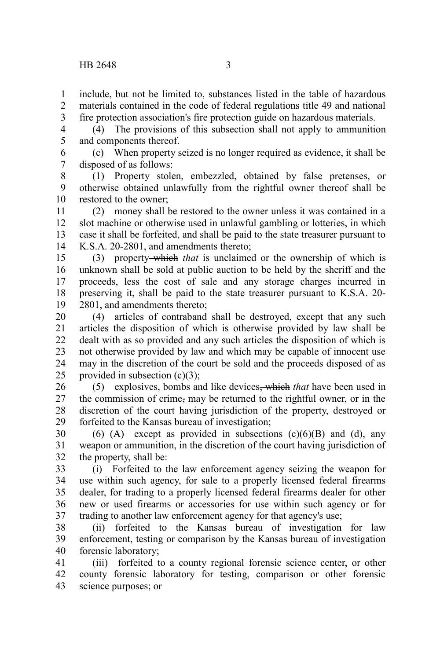include, but not be limited to, substances listed in the table of hazardous materials contained in the code of federal regulations title 49 and national fire protection association's fire protection guide on hazardous materials. 1 2 3

(4) The provisions of this subsection shall not apply to ammunition and components thereof. 4 5

(c) When property seized is no longer required as evidence, it shall be disposed of as follows: 6 7

(1) Property stolen, embezzled, obtained by false pretenses, or otherwise obtained unlawfully from the rightful owner thereof shall be restored to the owner; 8 9 10

(2) money shall be restored to the owner unless it was contained in a slot machine or otherwise used in unlawful gambling or lotteries, in which case it shall be forfeited, and shall be paid to the state treasurer pursuant to K.S.A. 20-2801, and amendments thereto; 11 12 13 14

(3) property which *that* is unclaimed or the ownership of which is unknown shall be sold at public auction to be held by the sheriff and the proceeds, less the cost of sale and any storage charges incurred in preserving it, shall be paid to the state treasurer pursuant to K.S.A. 20- 2801, and amendments thereto; 15 16 17 18 19

(4) articles of contraband shall be destroyed, except that any such articles the disposition of which is otherwise provided by law shall be dealt with as so provided and any such articles the disposition of which is not otherwise provided by law and which may be capable of innocent use may in the discretion of the court be sold and the proceeds disposed of as provided in subsection  $(c)(3)$ ; 20 21 22 23 24 25

(5) explosives, bombs and like devices, which *that* have been used in the commission of crime, may be returned to the rightful owner, or in the discretion of the court having jurisdiction of the property, destroyed or forfeited to the Kansas bureau of investigation; 26 27 28 29

(6) (A) except as provided in subsections  $(c)(6)(B)$  and (d), any weapon or ammunition, in the discretion of the court having jurisdiction of the property, shall be: 30 31 32

(i) Forfeited to the law enforcement agency seizing the weapon for use within such agency, for sale to a properly licensed federal firearms dealer, for trading to a properly licensed federal firearms dealer for other new or used firearms or accessories for use within such agency or for trading to another law enforcement agency for that agency's use; 33 34 35 36 37

(ii) forfeited to the Kansas bureau of investigation for law enforcement, testing or comparison by the Kansas bureau of investigation forensic laboratory; 38 39 40

(iii) forfeited to a county regional forensic science center, or other county forensic laboratory for testing, comparison or other forensic science purposes; or 41 42 43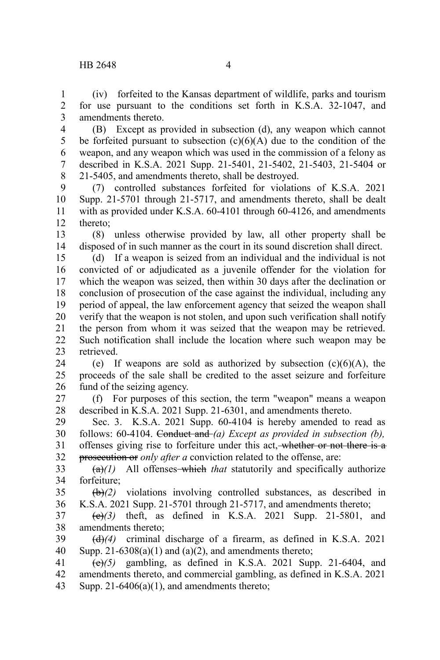(iv) forfeited to the Kansas department of wildlife, parks and tourism for use pursuant to the conditions set forth in K.S.A. 32-1047, and amendments thereto. 1 2 3

(B) Except as provided in subsection (d), any weapon which cannot be forfeited pursuant to subsection  $(c)(6)(A)$  due to the condition of the weapon, and any weapon which was used in the commission of a felony as described in K.S.A. 2021 Supp. 21-5401, 21-5402, 21-5403, 21-5404 or 21-5405, and amendments thereto, shall be destroyed. 4 5 6 7 8

(7) controlled substances forfeited for violations of K.S.A. 2021 Supp. 21-5701 through 21-5717, and amendments thereto, shall be dealt with as provided under K.S.A. 60-4101 through 60-4126, and amendments thereto; 9 10 11 12

(8) unless otherwise provided by law, all other property shall be disposed of in such manner as the court in its sound discretion shall direct. 13 14

(d) If a weapon is seized from an individual and the individual is not convicted of or adjudicated as a juvenile offender for the violation for which the weapon was seized, then within 30 days after the declination or conclusion of prosecution of the case against the individual, including any period of appeal, the law enforcement agency that seized the weapon shall verify that the weapon is not stolen, and upon such verification shall notify the person from whom it was seized that the weapon may be retrieved. Such notification shall include the location where such weapon may be retrieved. 15 16 17 18 19 20 21 22 23

(e) If weapons are sold as authorized by subsection  $(c)(6)(A)$ , the proceeds of the sale shall be credited to the asset seizure and forfeiture fund of the seizing agency. 24 25 26

(f) For purposes of this section, the term "weapon" means a weapon described in K.S.A. 2021 Supp. 21-6301, and amendments thereto. 27 28

Sec. 3. K.S.A. 2021 Supp. 60-4104 is hereby amended to read as follows: 60-4104. Conduct and *(a) Except as provided in subsection (b),* offenses giving rise to forfeiture under this act, whether or not there is a prosecution or *only after a* conviction related to the offense, are: 29 30 31 32

 $(a)(1)$  All offenses—which *that* statutorily and specifically authorize forfeiture; 33 34

(b)*(2)* violations involving controlled substances, as described in K.S.A. 2021 Supp. 21-5701 through 21-5717, and amendments thereto; 35 36

(c)*(3)* theft, as defined in K.S.A. 2021 Supp. 21-5801, and amendments thereto; 37 38

(d)*(4)* criminal discharge of a firearm, as defined in K.S.A. 2021 Supp.  $21-6308(a)(1)$  and  $(a)(2)$ , and amendments thereto; 39 40

 $\overrightarrow{(e)}$ (5) gambling, as defined in K.S.A. 2021 Supp. 21-6404, and amendments thereto, and commercial gambling, as defined in K.S.A. 2021 Supp.  $21-6406(a)(1)$ , and amendments thereto; 41 42 43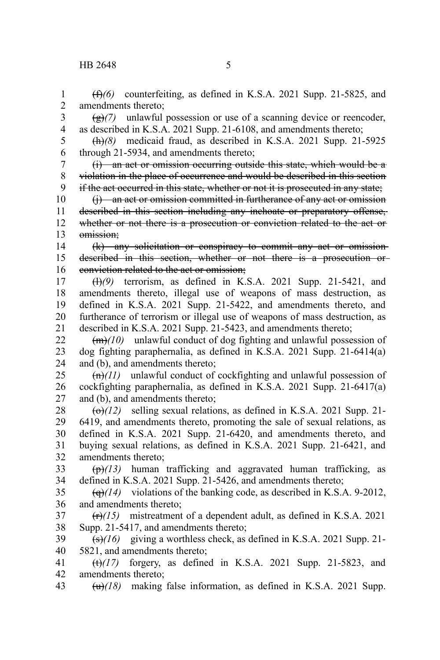(f)*(6)* counterfeiting, as defined in K.S.A. 2021 Supp. 21-5825, and amendments thereto; 1 2

 $\left(\frac{g}{g}\right)$  unlawful possession or use of a scanning device or reencoder, as described in K.S.A. 2021 Supp. 21-6108, and amendments thereto; 3 4

(h)*(8)* medicaid fraud, as described in K.S.A. 2021 Supp. 21-5925 through 21-5934, and amendments thereto; 5 6

(i) an act or omission occurring outside this state, which would be a violation in the place of occurrence and would be described in this section if the act occurred in this state, whether or not it is prosecuted in any state; 7 8 9

(j) an act or omission committed in furtherance of any act or omission described in this section including any inchoate or preparatory offense, whether or not there is a prosecution or conviction related to the act or omission; 10 11 12 13

(k) any solicitation or conspiracy to commit any act or omission described in this section, whether or not there is a prosecution or conviction related to the act or omission; 14 15 16

(l)*(9)* terrorism, as defined in K.S.A. 2021 Supp. 21-5421, and amendments thereto, illegal use of weapons of mass destruction, as defined in K.S.A. 2021 Supp. 21-5422, and amendments thereto, and furtherance of terrorism or illegal use of weapons of mass destruction, as described in K.S.A. 2021 Supp. 21-5423, and amendments thereto; 17 18 19 20 21

(m)*(10)* unlawful conduct of dog fighting and unlawful possession of dog fighting paraphernalia, as defined in K.S.A. 2021 Supp. 21-6414(a) and (b), and amendments thereto; 22 23 24

(n)*(11)* unlawful conduct of cockfighting and unlawful possession of cockfighting paraphernalia, as defined in K.S.A. 2021 Supp. 21-6417(a) and (b), and amendments thereto; 25 26 27

 $\left(\frac{\Theta}{12}\right)$  selling sexual relations, as defined in K.S.A. 2021 Supp. 21-6419, and amendments thereto, promoting the sale of sexual relations, as defined in K.S.A. 2021 Supp. 21-6420, and amendments thereto, and buying sexual relations, as defined in K.S.A. 2021 Supp. 21-6421, and amendments thereto; 28 29 30 31 32

(p)*(13)* human trafficking and aggravated human trafficking, as defined in K.S.A. 2021 Supp. 21-5426, and amendments thereto; 33 34

 $\left(\frac{q}{q}\right)$  violations of the banking code, as described in K.S.A. 9-2012, and amendments thereto; 35 36

(r)*(15)* mistreatment of a dependent adult, as defined in K.S.A. 2021 Supp. 21-5417, and amendments thereto; 37 38

(s)*(16)* giving a worthless check, as defined in K.S.A. 2021 Supp. 21- 5821, and amendments thereto; 39 40

 $(t)$ (17) forgery, as defined in K.S.A. 2021 Supp. 21-5823, and amendments thereto; 41 42

(u)*(18)* making false information, as defined in K.S.A. 2021 Supp. 43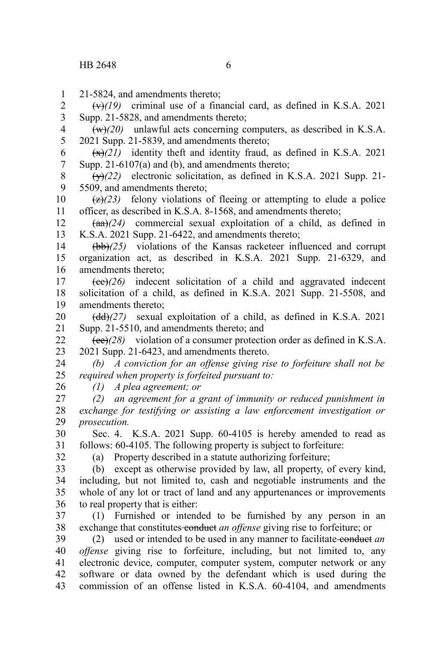21-5824, and amendments thereto; 1

 $\left(\frac{v}{v}\right)$  criminal use of a financial card, as defined in K.S.A. 2021 Supp. 21-5828, and amendments thereto; 2 3

 $(w)(20)$  unlawful acts concerning computers, as described in K.S.A. 2021 Supp. 21-5839, and amendments thereto; 4 5

 $\left(\frac{x}{x}\right)$  identity theft and identity fraud, as defined in K.S.A. 2021 Supp. 21-6107(a) and (b), and amendments thereto; 6 7

 $\overline{(y)}(22)$  electronic solicitation, as defined in K.S.A. 2021 Supp. 21-5509, and amendments thereto; 8 9

 $\left(\frac{z}{2}, \frac{z}{2}, \frac{z}{2}\right)$  felony violations of fleeing or attempting to elude a police officer, as described in K.S.A. 8-1568, and amendments thereto; 10 11

 $(aa)/(24)$  commercial sexual exploitation of a child, as defined in K.S.A. 2021 Supp. 21-6422, and amendments thereto; 12 13

(bb)*(25)* violations of the Kansas racketeer influenced and corrupt organization act, as described in K.S.A. 2021 Supp. 21-6329, and amendments thereto; 14 15 16

(cc)*(26)* indecent solicitation of a child and aggravated indecent solicitation of a child, as defined in K.S.A. 2021 Supp. 21-5508, and amendments thereto; 17 18 19

(dd)*(27)* sexual exploitation of a child, as defined in K.S.A. 2021 Supp. 21-5510, and amendments thereto; and 20 21

(ee)*(28)* violation of a consumer protection order as defined in K.S.A. 2021 Supp. 21-6423, and amendments thereto. 22 23

*(b) A conviction for an offense giving rise to forfeiture shall not be required when property is forfeited pursuant to:* 24 25

*(1) A plea agreement; or*

*(2) an agreement for a grant of immunity or reduced punishment in exchange for testifying or assisting a law enforcement investigation or prosecution.* 27 28 29

Sec. 4. K.S.A. 2021 Supp. 60-4105 is hereby amended to read as follows: 60-4105. The following property is subject to forfeiture: 30 31

32

26

(a) Property described in a statute authorizing forfeiture;

(b) except as otherwise provided by law, all property, of every kind, including, but not limited to, cash and negotiable instruments and the whole of any lot or tract of land and any appurtenances or improvements to real property that is either: 33 34 35 36

(1) Furnished or intended to be furnished by any person in an exchange that constitutes conduct *an offense* giving rise to forfeiture; or 37 38

(2) used or intended to be used in any manner to facilitate conduct *an offense* giving rise to forfeiture, including, but not limited to, any electronic device, computer, computer system, computer network or any software or data owned by the defendant which is used during the commission of an offense listed in K.S.A. 60-4104, and amendments 39 40 41 42 43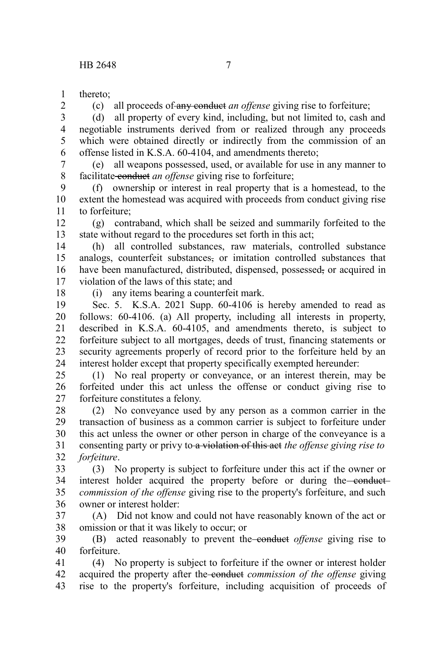thereto; 1

2

(c) all proceeds of any conduct *an offense* giving rise to forfeiture;

(d) all property of every kind, including, but not limited to, cash and negotiable instruments derived from or realized through any proceeds which were obtained directly or indirectly from the commission of an offense listed in K.S.A. 60-4104, and amendments thereto; 3 4 5 6

(e) all weapons possessed, used, or available for use in any manner to facilitate conduct *an offense* giving rise to forfeiture; 7 8

(f) ownership or interest in real property that is a homestead, to the extent the homestead was acquired with proceeds from conduct giving rise to forfeiture; 9 10 11

(g) contraband, which shall be seized and summarily forfeited to the state without regard to the procedures set forth in this act; 12 13

(h) all controlled substances, raw materials, controlled substance analogs, counterfeit substances, or imitation controlled substances that have been manufactured, distributed, dispensed, possessed, or acquired in violation of the laws of this state; and 14 15 16 17

18

(i) any items bearing a counterfeit mark.

Sec. 5. K.S.A. 2021 Supp. 60-4106 is hereby amended to read as follows: 60-4106. (a) All property, including all interests in property, described in K.S.A. 60-4105, and amendments thereto, is subject to forfeiture subject to all mortgages, deeds of trust, financing statements or security agreements properly of record prior to the forfeiture held by an interest holder except that property specifically exempted hereunder: 19 20 21 22 23 24

(1) No real property or conveyance, or an interest therein, may be forfeited under this act unless the offense or conduct giving rise to forfeiture constitutes a felony. 25 26 27

(2) No conveyance used by any person as a common carrier in the transaction of business as a common carrier is subject to forfeiture under this act unless the owner or other person in charge of the conveyance is a consenting party or privy to a violation of this act *the offense giving rise to forfeiture*. 28 29 30 31 32

(3) No property is subject to forfeiture under this act if the owner or interest holder acquired the property before or during the conduct*commission of the offense* giving rise to the property's forfeiture, and such owner or interest holder: 33 34 35 36

(A) Did not know and could not have reasonably known of the act or omission or that it was likely to occur; or 37 38

(B) acted reasonably to prevent the conduct *offense* giving rise to forfeiture. 39 40

(4) No property is subject to forfeiture if the owner or interest holder acquired the property after the conduct *commission of the offense* giving rise to the property's forfeiture, including acquisition of proceeds of 41 42 43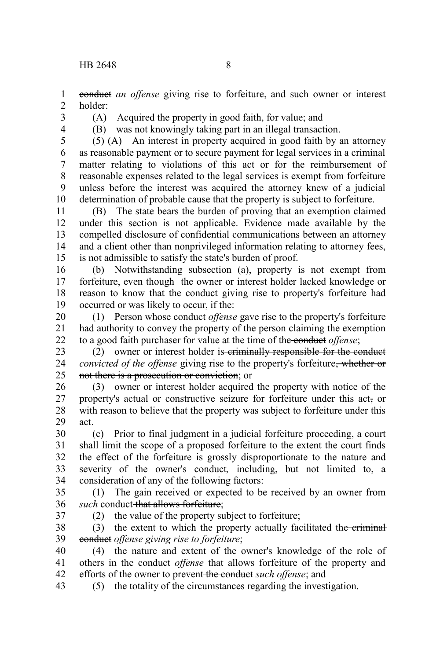conduct *an offense* giving rise to forfeiture, and such owner or interest

- holder: 2
- 3

1

(A) Acquired the property in good faith, for value; and

4

(B) was not knowingly taking part in an illegal transaction.

(5) (A) An interest in property acquired in good faith by an attorney as reasonable payment or to secure payment for legal services in a criminal matter relating to violations of this act or for the reimbursement of reasonable expenses related to the legal services is exempt from forfeiture unless before the interest was acquired the attorney knew of a judicial determination of probable cause that the property is subject to forfeiture. 5 6 7 8 9 10

(B) The state bears the burden of proving that an exemption claimed under this section is not applicable. Evidence made available by the compelled disclosure of confidential communications between an attorney and a client other than nonprivileged information relating to attorney fees, is not admissible to satisfy the state's burden of proof. 11 12 13 14 15

(b) Notwithstanding subsection (a), property is not exempt from forfeiture, even though the owner or interest holder lacked knowledge or reason to know that the conduct giving rise to property's forfeiture had occurred or was likely to occur, if the: 16 17 18 19

(1) Person whose conduct *offense* gave rise to the property's forfeiture had authority to convey the property of the person claiming the exemption to a good faith purchaser for value at the time of the conduct *offense*; 20 21 22

(2) owner or interest holder is examinally responsible for the conduct *convicted of the offense* giving rise to the property's forfeiture, whether or not there is a prosecution or conviction; or 23 24 25

(3) owner or interest holder acquired the property with notice of the property's actual or constructive seizure for forfeiture under this act, or with reason to believe that the property was subject to forfeiture under this act. 26 27 28 29

(c) Prior to final judgment in a judicial forfeiture proceeding, a court shall limit the scope of a proposed forfeiture to the extent the court finds the effect of the forfeiture is grossly disproportionate to the nature and severity of the owner's conduct*,* including, but not limited to, a consideration of any of the following factors: 30 31 32 33 34

(1) The gain received or expected to be received by an owner from *such* conduct that allows forfeiture; 35 36

37

(2) the value of the property subject to forfeiture;

(3) the extent to which the property actually facilitated the eriminal conduct *offense giving rise to forfeiture*; 38 39

(4) the nature and extent of the owner's knowledge of the role of others in the conduct *offense* that allows forfeiture of the property and efforts of the owner to prevent the conduct *such offense*; and 40 41 42

(5) the totality of the circumstances regarding the investigation. 43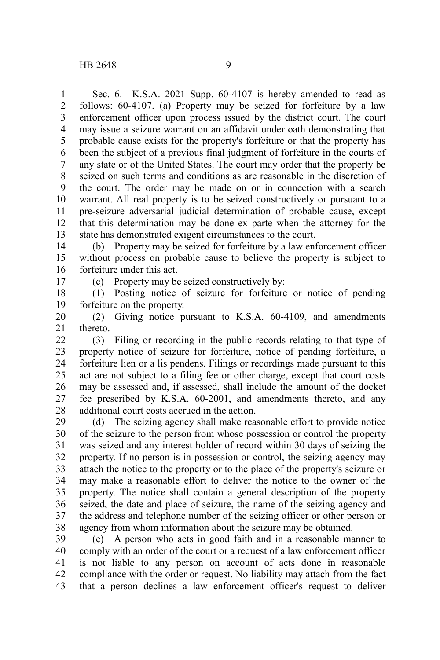17

Sec. 6. K.S.A. 2021 Supp. 60-4107 is hereby amended to read as follows: 60-4107. (a) Property may be seized for forfeiture by a law enforcement officer upon process issued by the district court. The court may issue a seizure warrant on an affidavit under oath demonstrating that probable cause exists for the property's forfeiture or that the property has been the subject of a previous final judgment of forfeiture in the courts of any state or of the United States. The court may order that the property be seized on such terms and conditions as are reasonable in the discretion of the court. The order may be made on or in connection with a search warrant. All real property is to be seized constructively or pursuant to a pre-seizure adversarial judicial determination of probable cause, except that this determination may be done ex parte when the attorney for the state has demonstrated exigent circumstances to the court. 1 2 3 4 5 6 7 8 9 10 11 12 13

(b) Property may be seized for forfeiture by a law enforcement officer without process on probable cause to believe the property is subject to forfeiture under this act. 14 15 16

(c) Property may be seized constructively by:

(1) Posting notice of seizure for forfeiture or notice of pending forfeiture on the property. 18 19

(2) Giving notice pursuant to K.S.A. 60-4109, and amendments thereto. 20 21

(3) Filing or recording in the public records relating to that type of property notice of seizure for forfeiture, notice of pending forfeiture, a forfeiture lien or a lis pendens. Filings or recordings made pursuant to this act are not subject to a filing fee or other charge, except that court costs may be assessed and, if assessed, shall include the amount of the docket fee prescribed by K.S.A. 60-2001, and amendments thereto, and any additional court costs accrued in the action.  $22$ 23 24 25 26 27 28

(d) The seizing agency shall make reasonable effort to provide notice of the seizure to the person from whose possession or control the property was seized and any interest holder of record within 30 days of seizing the property. If no person is in possession or control, the seizing agency may attach the notice to the property or to the place of the property's seizure or may make a reasonable effort to deliver the notice to the owner of the property. The notice shall contain a general description of the property seized, the date and place of seizure, the name of the seizing agency and the address and telephone number of the seizing officer or other person or agency from whom information about the seizure may be obtained. 29 30 31 32 33 34 35 36 37 38

(e) A person who acts in good faith and in a reasonable manner to comply with an order of the court or a request of a law enforcement officer is not liable to any person on account of acts done in reasonable compliance with the order or request. No liability may attach from the fact that a person declines a law enforcement officer's request to deliver 39 40 41 42 43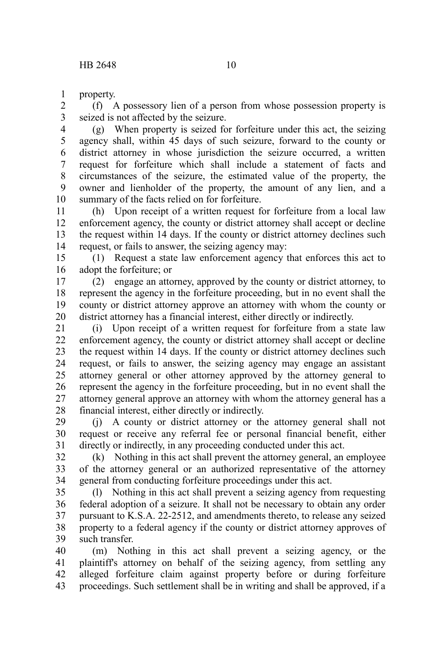property. 1

(f) A possessory lien of a person from whose possession property is seized is not affected by the seizure. 2 3

(g) When property is seized for forfeiture under this act, the seizing agency shall, within 45 days of such seizure, forward to the county or district attorney in whose jurisdiction the seizure occurred, a written request for forfeiture which shall include a statement of facts and circumstances of the seizure, the estimated value of the property, the owner and lienholder of the property, the amount of any lien, and a summary of the facts relied on for forfeiture. 4 5 6 7 8 9 10

(h) Upon receipt of a written request for forfeiture from a local law enforcement agency, the county or district attorney shall accept or decline the request within 14 days. If the county or district attorney declines such request, or fails to answer, the seizing agency may: 11 12 13 14

(1) Request a state law enforcement agency that enforces this act to adopt the forfeiture; or 15 16

(2) engage an attorney, approved by the county or district attorney, to represent the agency in the forfeiture proceeding, but in no event shall the county or district attorney approve an attorney with whom the county or district attorney has a financial interest, either directly or indirectly. 17 18 19 20

(i) Upon receipt of a written request for forfeiture from a state law enforcement agency, the county or district attorney shall accept or decline the request within 14 days. If the county or district attorney declines such request, or fails to answer, the seizing agency may engage an assistant attorney general or other attorney approved by the attorney general to represent the agency in the forfeiture proceeding, but in no event shall the attorney general approve an attorney with whom the attorney general has a financial interest, either directly or indirectly. 21 22 23 24 25 26 27 28

(j) A county or district attorney or the attorney general shall not request or receive any referral fee or personal financial benefit, either directly or indirectly, in any proceeding conducted under this act. 29 30 31

(k) Nothing in this act shall prevent the attorney general, an employee of the attorney general or an authorized representative of the attorney general from conducting forfeiture proceedings under this act. 32 33 34

(l) Nothing in this act shall prevent a seizing agency from requesting federal adoption of a seizure. It shall not be necessary to obtain any order pursuant to K.S.A. 22-2512, and amendments thereto, to release any seized property to a federal agency if the county or district attorney approves of such transfer. 35 36 37 38 39

(m) Nothing in this act shall prevent a seizing agency, or the plaintiff's attorney on behalf of the seizing agency, from settling any alleged forfeiture claim against property before or during forfeiture proceedings. Such settlement shall be in writing and shall be approved, if a 40 41 42 43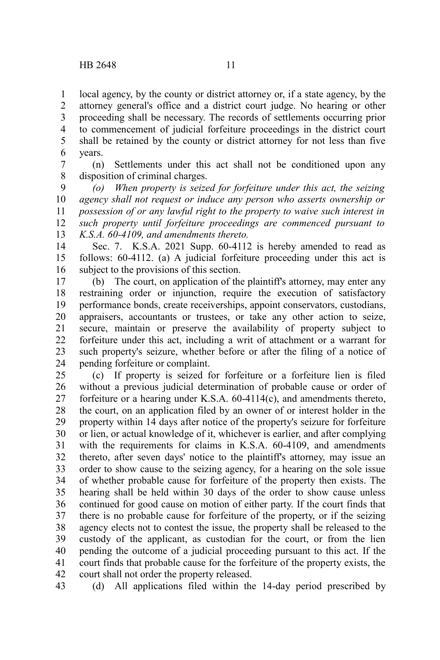local agency, by the county or district attorney or, if a state agency, by the attorney general's office and a district court judge. No hearing or other proceeding shall be necessary. The records of settlements occurring prior to commencement of judicial forfeiture proceedings in the district court shall be retained by the county or district attorney for not less than five years. 1 2 3 4 5 6

(n) Settlements under this act shall not be conditioned upon any disposition of criminal charges. 7 8

*(o) When property is seized for forfeiture under this act, the seizing agency shall not request or induce any person who asserts ownership or possession of or any lawful right to the property to waive such interest in such property until forfeiture proceedings are commenced pursuant to K.S.A. 60-4109, and amendments thereto.* 9 10 11 12 13

Sec. 7. K.S.A. 2021 Supp. 60-4112 is hereby amended to read as follows: 60-4112. (a) A judicial forfeiture proceeding under this act is subject to the provisions of this section. 14 15 16

(b) The court, on application of the plaintiff's attorney, may enter any restraining order or injunction, require the execution of satisfactory performance bonds, create receiverships, appoint conservators, custodians, appraisers, accountants or trustees, or take any other action to seize, secure, maintain or preserve the availability of property subject to forfeiture under this act, including a writ of attachment or a warrant for such property's seizure, whether before or after the filing of a notice of pending forfeiture or complaint. 17 18 19 20 21 22 23 24

(c) If property is seized for forfeiture or a forfeiture lien is filed without a previous judicial determination of probable cause or order of forfeiture or a hearing under K.S.A. 60-4114(c), and amendments thereto, the court, on an application filed by an owner of or interest holder in the property within 14 days after notice of the property's seizure for forfeiture or lien, or actual knowledge of it, whichever is earlier, and after complying with the requirements for claims in K.S.A. 60-4109, and amendments thereto, after seven days' notice to the plaintiff's attorney, may issue an order to show cause to the seizing agency, for a hearing on the sole issue of whether probable cause for forfeiture of the property then exists. The hearing shall be held within 30 days of the order to show cause unless continued for good cause on motion of either party. If the court finds that there is no probable cause for forfeiture of the property, or if the seizing agency elects not to contest the issue, the property shall be released to the custody of the applicant, as custodian for the court, or from the lien pending the outcome of a judicial proceeding pursuant to this act. If the court finds that probable cause for the forfeiture of the property exists, the court shall not order the property released. 25 26 27 28 29 30 31 32 33 34 35 36 37 38 39 40 41 42

(d) All applications filed within the 14-day period prescribed by 43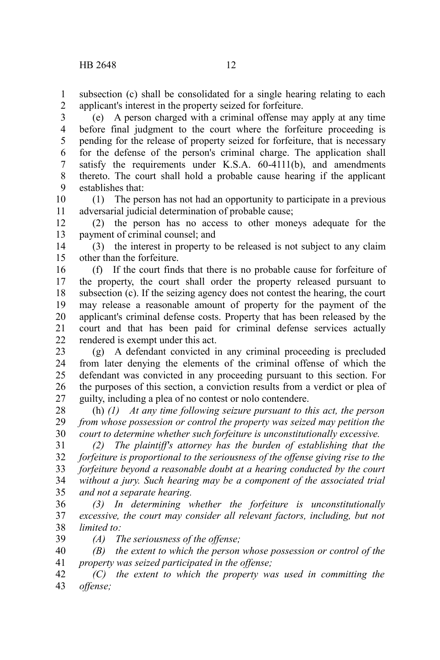subsection (c) shall be consolidated for a single hearing relating to each applicant's interest in the property seized for forfeiture. 1 2

(e) A person charged with a criminal offense may apply at any time before final judgment to the court where the forfeiture proceeding is pending for the release of property seized for forfeiture, that is necessary for the defense of the person's criminal charge. The application shall satisfy the requirements under K.S.A. 60-4111(b), and amendments thereto. The court shall hold a probable cause hearing if the applicant establishes that: 3 4 5 6 7 8 9

(1) The person has not had an opportunity to participate in a previous adversarial judicial determination of probable cause; 10 11

(2) the person has no access to other moneys adequate for the payment of criminal counsel; and 12 13

(3) the interest in property to be released is not subject to any claim other than the forfeiture. 14 15

(f) If the court finds that there is no probable cause for forfeiture of the property, the court shall order the property released pursuant to subsection (c). If the seizing agency does not contest the hearing, the court may release a reasonable amount of property for the payment of the applicant's criminal defense costs. Property that has been released by the court and that has been paid for criminal defense services actually rendered is exempt under this act. 16 17 18 19 20 21 22

(g) A defendant convicted in any criminal proceeding is precluded from later denying the elements of the criminal offense of which the defendant was convicted in any proceeding pursuant to this section. For the purposes of this section, a conviction results from a verdict or plea of guilty, including a plea of no contest or nolo contendere. 23 24 25 26 27

(h) *(1) At any time following seizure pursuant to this act, the person from whose possession or control the property was seized may petition the court to determine whether such forfeiture is unconstitutionally excessive.* 28 29 30

*(2) The plaintiff's attorney has the burden of establishing that the forfeiture is proportional to the seriousness of the offense giving rise to the forfeiture beyond a reasonable doubt at a hearing conducted by the court without a jury. Such hearing may be a component of the associated trial and not a separate hearing.* 31 32 33 34 35

*(3) In determining whether the forfeiture is unconstitutionally excessive, the court may consider all relevant factors, including, but not limited to:* 36 37 38

*(A) The seriousness of the offense;* 39

*(B) the extent to which the person whose possession or control of the property was seized participated in the offense;* 40 41

*(C) the extent to which the property was used in committing the offense;* 42 43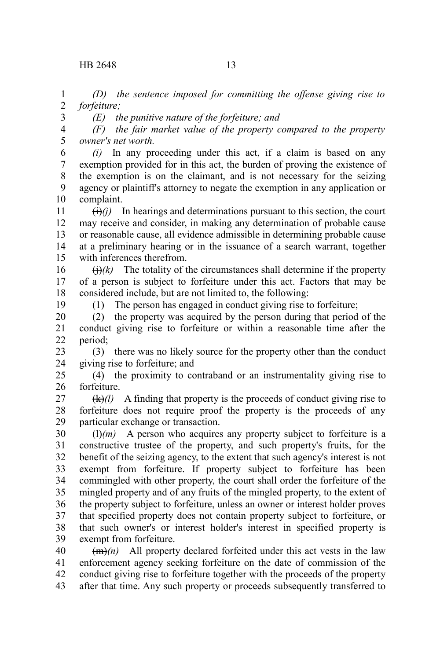*(D) the sentence imposed for committing the offense giving rise to forfeiture;* 1 2

3

*(E) the punitive nature of the forfeiture; and*

*(F) the fair market value of the property compared to the property owner's net worth.* 4 5

*(i)* In any proceeding under this act, if a claim is based on any exemption provided for in this act, the burden of proving the existence of the exemption is on the claimant, and is not necessary for the seizing agency or plaintiff's attorney to negate the exemption in any application or complaint. 6 7 8 9 10

 $(i)$ *(i)* In hearings and determinations pursuant to this section, the court may receive and consider, in making any determination of probable cause or reasonable cause, all evidence admissible in determining probable cause at a preliminary hearing or in the issuance of a search warrant, together with inferences therefrom. 11 12 13 14 15

 $\left(\frac{H}{k}\right)$  The totality of the circumstances shall determine if the property of a person is subject to forfeiture under this act. Factors that may be considered include, but are not limited to, the following: 16 17 18

19

(1) The person has engaged in conduct giving rise to forfeiture;

(2) the property was acquired by the person during that period of the conduct giving rise to forfeiture or within a reasonable time after the period; 20 21 22

(3) there was no likely source for the property other than the conduct giving rise to forfeiture; and 23 24

(4) the proximity to contraband or an instrumentality giving rise to forfeiture. 25 26

 $(k)/l$  A finding that property is the proceeds of conduct giving rise to forfeiture does not require proof the property is the proceeds of any particular exchange or transaction. 27 28 29

 $\overline{(l)}(m)$  A person who acquires any property subject to forfeiture is a constructive trustee of the property, and such property's fruits, for the benefit of the seizing agency, to the extent that such agency's interest is not exempt from forfeiture. If property subject to forfeiture has been commingled with other property, the court shall order the forfeiture of the mingled property and of any fruits of the mingled property, to the extent of the property subject to forfeiture, unless an owner or interest holder proves that specified property does not contain property subject to forfeiture, or that such owner's or interest holder's interest in specified property is exempt from forfeiture. 30 31 32 33 34 35 36 37 38 39

 $(m)$  All property declared forfeited under this act vests in the law enforcement agency seeking forfeiture on the date of commission of the conduct giving rise to forfeiture together with the proceeds of the property after that time. Any such property or proceeds subsequently transferred to 40 41 42 43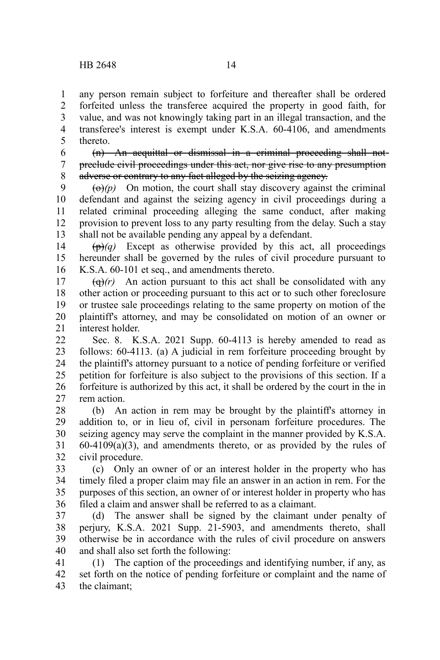any person remain subject to forfeiture and thereafter shall be ordered forfeited unless the transferee acquired the property in good faith, for value, and was not knowingly taking part in an illegal transaction, and the transferee's interest is exempt under K.S.A. 60-4106, and amendments thereto. 1 2 3 4 5

(n) An acquittal or dismissal in a criminal proceeding shall not preclude civil proceedings under this act, nor give rise to any presumption adverse or contrary to any fact alleged by the seizing agency. 6 7 8

 $\left(\frac{\Theta}{p}\right)$  On motion, the court shall stay discovery against the criminal defendant and against the seizing agency in civil proceedings during a related criminal proceeding alleging the same conduct, after making provision to prevent loss to any party resulting from the delay. Such a stay shall not be available pending any appeal by a defendant. 9 10 11 12 13

 $(\mathbf{p})$ *(q)* Except as otherwise provided by this act, all proceedings hereunder shall be governed by the rules of civil procedure pursuant to K.S.A. 60-101 et seq., and amendments thereto. 14 15 16

 $\left(\frac{q}{r}\right)$  An action pursuant to this act shall be consolidated with any other action or proceeding pursuant to this act or to such other foreclosure or trustee sale proceedings relating to the same property on motion of the plaintiff's attorney, and may be consolidated on motion of an owner or interest holder. 17 18 19 20 21

Sec. 8. K.S.A. 2021 Supp. 60-4113 is hereby amended to read as follows: 60-4113. (a) A judicial in rem forfeiture proceeding brought by the plaintiff's attorney pursuant to a notice of pending forfeiture or verified petition for forfeiture is also subject to the provisions of this section. If a forfeiture is authorized by this act, it shall be ordered by the court in the in rem action.  $22$ 23 24 25 26 27

(b) An action in rem may be brought by the plaintiff's attorney in addition to, or in lieu of, civil in personam forfeiture procedures. The seizing agency may serve the complaint in the manner provided by K.S.A.  $60-4109(a)(3)$ , and amendments thereto, or as provided by the rules of civil procedure. 28 29 30 31 32

(c) Only an owner of or an interest holder in the property who has timely filed a proper claim may file an answer in an action in rem. For the purposes of this section, an owner of or interest holder in property who has filed a claim and answer shall be referred to as a claimant. 33 34 35 36

(d) The answer shall be signed by the claimant under penalty of perjury, K.S.A. 2021 Supp. 21-5903, and amendments thereto, shall otherwise be in accordance with the rules of civil procedure on answers and shall also set forth the following: 37 38 39 40

(1) The caption of the proceedings and identifying number, if any, as set forth on the notice of pending forfeiture or complaint and the name of the claimant; 41 42 43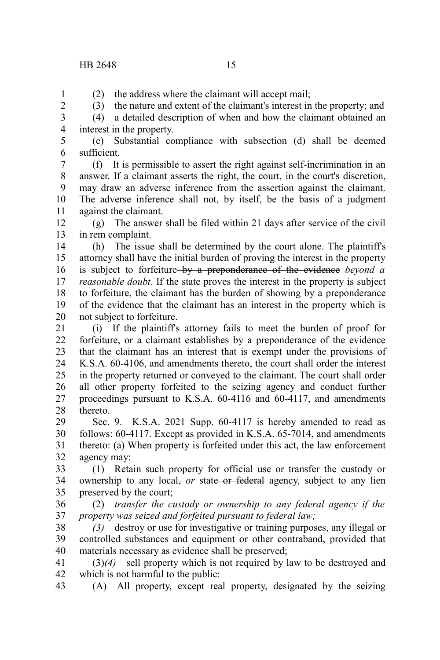## HB 2648 15

(2) the address where the claimant will accept mail;

1 2 3

(3) the nature and extent of the claimant's interest in the property; and (4) a detailed description of when and how the claimant obtained an

4 5

interest in the property. (e) Substantial compliance with subsection (d) shall be deemed sufficient.

6

(f) It is permissible to assert the right against self-incrimination in an answer. If a claimant asserts the right, the court, in the court's discretion, may draw an adverse inference from the assertion against the claimant. The adverse inference shall not, by itself, be the basis of a judgment against the claimant. 7 8 9 10 11

(g) The answer shall be filed within 21 days after service of the civil in rem complaint. 12 13

(h) The issue shall be determined by the court alone. The plaintiff's attorney shall have the initial burden of proving the interest in the property is subject to forfeiture by a preponderance of the evidence *beyond a reasonable doubt*. If the state proves the interest in the property is subject to forfeiture, the claimant has the burden of showing by a preponderance of the evidence that the claimant has an interest in the property which is not subject to forfeiture. 14 15 16 17 18 19 20

(i) If the plaintiff's attorney fails to meet the burden of proof for forfeiture, or a claimant establishes by a preponderance of the evidence that the claimant has an interest that is exempt under the provisions of K.S.A. 60-4106, and amendments thereto, the court shall order the interest in the property returned or conveyed to the claimant. The court shall order all other property forfeited to the seizing agency and conduct further proceedings pursuant to K.S.A. 60-4116 and 60-4117, and amendments thereto. 21 22 23 24 25 26 27 28

Sec. 9. K.S.A. 2021 Supp. 60-4117 is hereby amended to read as follows: 60-4117. Except as provided in K.S.A. 65-7014, and amendments thereto: (a) When property is forfeited under this act, the law enforcement agency may: 29 30 31 32

(1) Retain such property for official use or transfer the custody or ownership to any local, *or* state or federal agency, subject to any lien preserved by the court; 33 34 35

(2) *transfer the custody or ownership to any federal agency if the property was seized and forfeited pursuant to federal law;* 36 37

*(3)* destroy or use for investigative or training purposes, any illegal or controlled substances and equipment or other contraband, provided that materials necessary as evidence shall be preserved; 38 39 40

(3)*(4)* sell property which is not required by law to be destroyed and which is not harmful to the public: 41 42

(A) All property, except real property, designated by the seizing 43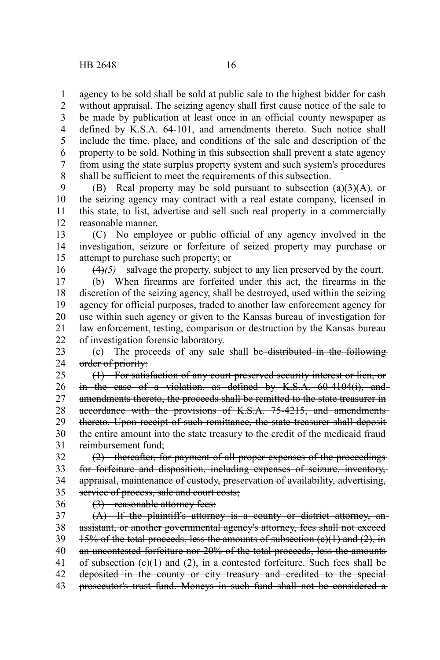agency to be sold shall be sold at public sale to the highest bidder for cash 1

without appraisal. The seizing agency shall first cause notice of the sale to be made by publication at least once in an official county newspaper as defined by K.S.A. 64-101, and amendments thereto. Such notice shall include the time, place, and conditions of the sale and description of the property to be sold. Nothing in this subsection shall prevent a state agency from using the state surplus property system and such system's procedures shall be sufficient to meet the requirements of this subsection. 2 3 4 5 6 7 8

(B) Real property may be sold pursuant to subsection  $(a)(3)(A)$ , or the seizing agency may contract with a real estate company, licensed in this state, to list, advertise and sell such real property in a commercially reasonable manner. 9 10 11 12

(C) No employee or public official of any agency involved in the investigation, seizure or forfeiture of seized property may purchase or attempt to purchase such property; or 13 14 15

16

(4)*(5)* salvage the property, subject to any lien preserved by the court.

(b) When firearms are forfeited under this act, the firearms in the discretion of the seizing agency, shall be destroyed, used within the seizing agency for official purposes, traded to another law enforcement agency for use within such agency or given to the Kansas bureau of investigation for law enforcement, testing, comparison or destruction by the Kansas bureau of investigation forensic laboratory. 17 18 19 20 21 22

(c) The proceeds of any sale shall be distributed in the following order of priority: 23 24

(1) For satisfaction of any court preserved security interest or lien, or in the case of a violation, as defined by K.S.A. 60-4104(i), and amendments thereto, the proceeds shall be remitted to the state treasurer in accordance with the provisions of K.S.A. 75-4215, and amendmentsthereto. Upon receipt of such remittance, the state treasurer shall deposit the entire amount into the state treasury to the credit of the medicaid fraud reimbursement fund; 25 26 27 28 29 30 31

(2) thereafter, for payment of all proper expenses of the proceedings for forfeiture and disposition, including expenses of seizure, inventory, appraisal, maintenance of custody, preservation of availability, advertising, service of process, sale and court costs; 32 33 34 35

36

(3) reasonable attorney fees:

(A) If the plaintiff's attorney is a county or district attorney, anassistant, or another governmental agency's attorney, fees shall not exceed 15% of the total proceeds, less the amounts of subsection  $(e)(1)$  and  $(2)$ , in an uncontested forfeiture nor 20% of the total proceeds, less the amounts of subsection  $(e)(1)$  and  $(2)$ , in a contested forfeiture. Such fees shall be deposited in the county or city treasury and credited to the special prosecutor's trust fund. Moneys in such fund shall not be considered a 37 38 39 40 41 42 43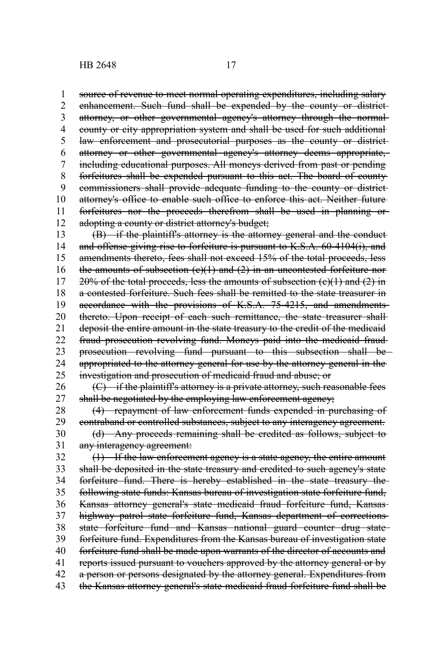source of revenue to meet normal operating expenditures, including salary enhancement. Such fund shall be expended by the county or district attorney, or other governmental agency's attorney through the normal county or city appropriation system and shall be used for such additional law enforcement and prosecutorial purposes as the county or districtattorney or other governmental agency's attorney deems appropriate, including educational purposes. All moneys derived from past or pending forfeitures shall be expended pursuant to this act. The board of county commissioners shall provide adequate funding to the county or district attorney's office to enable such office to enforce this act. Neither future forfeitures nor the proceeds therefrom shall be used in planning or adopting a county or district attorney's budget; (B) if the plaintiff's attorney is the attorney general and the conduct and offense giving rise to forfeiture is pursuant to K.S.A. 60-4104(i), and amendments thereto, fees shall not exceed 15% of the total proceeds, less the amounts of subsection  $(e)(1)$  and  $(2)$  in an uncontested forfeiture nor- $20\%$  of the total proceeds, less the amounts of subsection (e)(1) and (2) in a contested forfeiture. Such fees shall be remitted to the state treasurer in accordance with the provisions of K.S.A. 75-4215, and amendmentsthereto. Upon receipt of each such remittance, the state treasurer shalldeposit the entire amount in the state treasury to the credit of the medicaid 1 2 3 4 5 6 7 8 9 10 11 12 13 14 15 16 17 18 19 20 21

fraud prosecution revolving fund. Moneys paid into the medicaid fraud prosecution revolving fund pursuant to this subsection shall be appropriated to the attorney general for use by the attorney general in the investigation and prosecution of medicaid fraud and abuse; or 22 23 24 25

 $(C)$  if the plaintiff's attorney is a private attorney, such reasonable fees shall be negotiated by the employing law enforcement agency; 26 27

(4) repayment of law enforcement funds expended in purchasing of contraband or controlled substances, subject to any interagency agreement. (d) Any proceeds remaining shall be credited as follows, subject to any interagency agreement: 28 29 30 31

(1) If the law enforcement agency is a state agency, the entire amount shall be deposited in the state treasury and credited to such agency's state forfeiture fund. There is hereby established in the state treasury the following state funds: Kansas bureau of investigation state forfeiture fund, Kansas attorney general's state medicaid fraud forfeiture fund, Kansas highway patrol state forfeiture fund, Kansas department of corrections state forfeiture fund and Kansas national guard counter drug state forfeiture fund. Expenditures from the Kansas bureau of investigation state forfeiture fund shall be made upon warrants of the director of accounts and reports issued pursuant to vouchers approved by the attorney general or by a person or persons designated by the attorney general. Expenditures from the Kansas attorney general's state medicaid fraud forfeiture fund shall be 32 33 34 35 36 37 38 39 40 41 42 43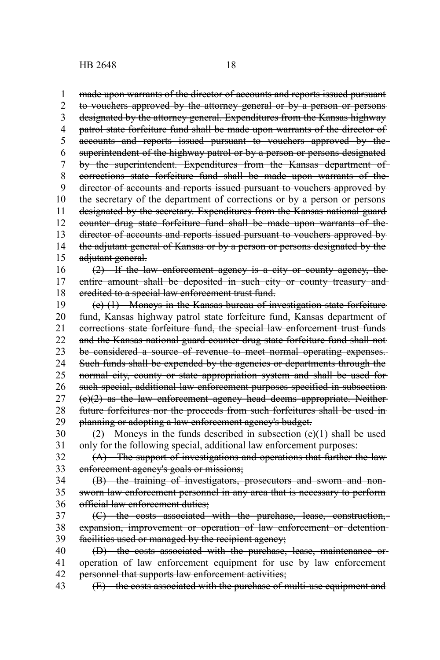made upon warrants of the director of accounts and reports issued pursuant to vouchers approved by the attorney general or by a person or persons designated by the attorney general. Expenditures from the Kansas highway patrol state forfeiture fund shall be made upon warrants of the director of accounts and reports issued pursuant to vouchers approved by the superintendent of the highway patrol or by a person or persons designated by the superintendent. Expenditures from the Kansas department of corrections state forfeiture fund shall be made upon warrants of the director of accounts and reports issued pursuant to vouchers approved by the secretary of the department of corrections or by a person or persons designated by the secretary. Expenditures from the Kansas national guard counter drug state forfeiture fund shall be made upon warrants of the director of accounts and reports issued pursuant to vouchers approved by the adjutant general of Kansas or by a person or persons designated by the adjutant general. (2) If the law enforcement agency is a city or county agency, the entire amount shall be deposited in such city or county treasury and credited to a special law enforcement trust fund. (e) (1) Moneys in the Kansas bureau of investigation state forfeiture fund, Kansas highway patrol state forfeiture fund, Kansas department of corrections state forfeiture fund, the special law enforcement trust funds and the Kansas national guard counter drug state forfeiture fund shall not be considered a source of revenue to meet normal operating expenses. Such funds shall be expended by the agencies or departments through the normal city, county or state appropriation system and shall be used for such special, additional law enforcement purposes specified in subsection (e)(2) as the law enforcement agency head deems appropriate. Neither future forfeitures nor the proceeds from such forfeitures shall be used in planning or adopting a law enforcement agency's budget.  $(2)$  Moneys in the funds described in subsection  $(e)(1)$  shall be used only for the following special, additional law enforcement purposes: (A) The support of investigations and operations that further the law enforcement agency's goals or missions; (B) the training of investigators, prosecutors and sworn and nonsworn law enforcement personnel in any area that is necessary to perform official law enforcement duties; (C) the costs associated with the purchase, lease, construction, expansion, improvement or operation of law enforcement or detentionfacilities used or managed by the recipient agency; (D) the costs associated with the purchase, lease, maintenance or operation of law enforcement equipment for use by law enforcement personnel that supports law enforcement activities; (E) the costs associated with the purchase of multi-use equipment and 1 2 3 4 5 6 7 8 9 10 11 12 13 14 15 16 17 18 19 20 21 22 23 24 25 26 27 28 29 30 31 32 33 34 35 36 37 38 39 40 41 42 43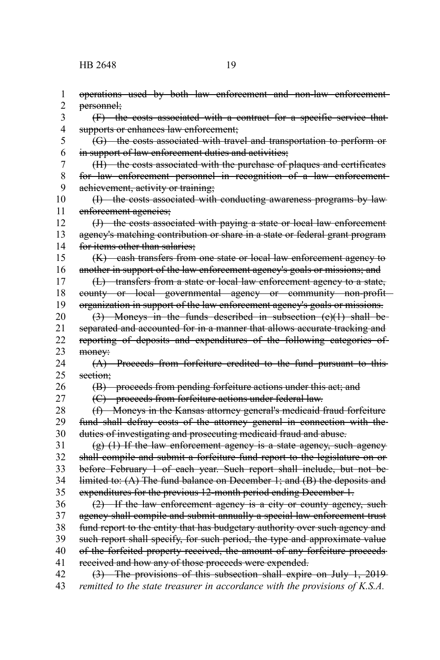operations used by both law enforcement and non-law enforcement personnel; (F) the costs associated with a contract for a specific service that supports or enhances law enforcement; (G) the costs associated with travel and transportation to perform or in support of law enforcement duties and activities; (H) the costs associated with the purchase of plaques and certificates for law enforcement personnel in recognition of a law enforcement achievement, activity or training; (I) the costs associated with conducting awareness programs by law enforcement agencies; (J) the costs associated with paying a state or local law enforcement agency's matching contribution or share in a state or federal grant program for items other than salaries: (K) cash transfers from one state or local law enforcement agency to another in support of the law enforcement agency's goals or missions; and (L) transfers from a state or local law enforcement agency to a state, county or local governmental agency or community non-profit organization in support of the law enforcement agency's goals or missions. (3) Moneys in the funds described in subsection (e)(1) shall be separated and accounted for in a manner that allows accurate tracking and reporting of deposits and expenditures of the following categories of money: (A) Proceeds from forfeiture credited to the fund pursuant to this section; (B) proceeds from pending forfeiture actions under this act; and (C) proceeds from forfeiture actions under federal law. (f) Moneys in the Kansas attorney general's medicaid fraud forfeiture fund shall defray costs of the attorney general in connection with the duties of investigating and prosecuting medicaid fraud and abuse.  $(g)$  (1) If the law enforcement agency is a state agency, such agency shall compile and submit a forfeiture fund report to the legislature on or before February 1 of each year. Such report shall include, but not be limited to: (A) The fund balance on December 1; and (B) the deposits and expenditures for the previous 12-month period ending December 1. (2) If the law enforcement agency is a city or county agency, such agency shall compile and submit annually a special law enforcement trust fund report to the entity that has budgetary authority over such agency and such report shall specify, for such period, the type and approximate value of the forfeited property received, the amount of any forfeiture proceeds received and how any of those proceeds were expended. (3) The provisions of this subsection shall expire on July 1, 2019 *remitted to the state treasurer in accordance with the provisions of K.S.A.* 1 2 3 4 5 6 7 8 9 10 11 12 13 14 15 16 17 18 19 20 21 22 23 24 25 26 27 28 29 30 31 32 33 34 35 36 37 38 39 40 41 42 43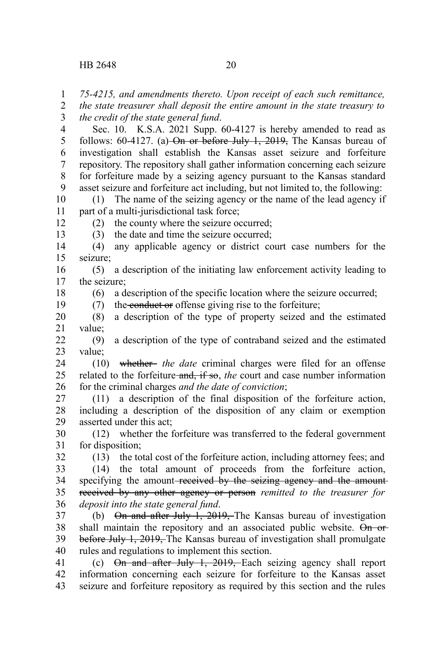12 13

18 19

*75-4215, and amendments thereto. Upon receipt of each such remittance,* 1

*the state treasurer shall deposit the entire amount in the state treasury to the credit of the state general fund*. 2 3

Sec. 10. K.S.A. 2021 Supp. 60-4127 is hereby amended to read as follows:  $60-4127$ . (a) On or before July 1, 2019, The Kansas bureau of investigation shall establish the Kansas asset seizure and forfeiture repository. The repository shall gather information concerning each seizure for forfeiture made by a seizing agency pursuant to the Kansas standard asset seizure and forfeiture act including, but not limited to, the following: 4 5 6 7 8 9

(1) The name of the seizing agency or the name of the lead agency if part of a multi-jurisdictional task force; 10 11

(2) the county where the seizure occurred;

(3) the date and time the seizure occurred;

(4) any applicable agency or district court case numbers for the seizure; 14 15

(5) a description of the initiating law enforcement activity leading to the seizure; 16 17

(6) a description of the specific location where the seizure occurred;

(7) the conduct or offense giving rise to the forfeiture;

(8) a description of the type of property seized and the estimated value; 20 21

(9) a description of the type of contraband seized and the estimated value; 22 23

(10) whether *the date* criminal charges were filed for an offense related to the forfeiture and, if so, the court and case number information for the criminal charges *and the date of conviction*; 24 25 26

(11) a description of the final disposition of the forfeiture action, including a description of the disposition of any claim or exemption asserted under this act; 27 28 29

(12) whether the forfeiture was transferred to the federal government for disposition; 30 31 32

(13) the total cost of the forfeiture action, including attorney fees; and

(14) the total amount of proceeds from the forfeiture action, specifying the amount-received by the seizing agency and the amountreceived by any other agency or person *remitted to the treasurer for deposit into the state general fund*. 33 34 35 36

(b) On and after July 1, 2019, The Kansas bureau of investigation shall maintain the repository and an associated public website. On orbefore July 1, 2019, The Kansas bureau of investigation shall promulgate rules and regulations to implement this section. 37 38 39 40

(c)  $\Theta$ n and after July 1, 2019, Each seizing agency shall report information concerning each seizure for forfeiture to the Kansas asset seizure and forfeiture repository as required by this section and the rules 41 42 43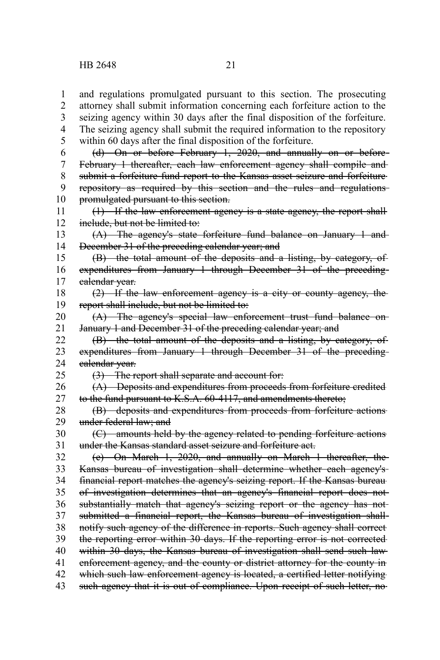and regulations promulgated pursuant to this section. The prosecuting attorney shall submit information concerning each forfeiture action to the seizing agency within 30 days after the final disposition of the forfeiture. The seizing agency shall submit the required information to the repository within 60 days after the final disposition of the forfeiture. (d) On or before February 1, 2020, and annually on or before February 1 thereafter, each law enforcement agency shall compile and submit a forfeiture fund report to the Kansas asset seizure and forfeiture repository as required by this section and the rules and regulations promulgated pursuant to this section. (1) If the law enforcement agency is a state agency, the report shall include, but not be limited to: (A) The agency's state forfeiture fund balance on January 1 and December 31 of the preceding calendar year; and (B) the total amount of the deposits and a listing, by category, of expenditures from January 1 through December 31 of the precedingcalendar year. (2) If the law enforcement agency is a city or county agency, the report shall include, but not be limited to: (A) The agency's special law enforcement trust fund balance on January 1 and December 31 of the preceding calendar year; and (B) the total amount of the deposits and a listing, by category, of expenditures from January 1 through December 31 of the precedingcalendar year. (3) The report shall separate and account for: (A) Deposits and expenditures from proceeds from forfeiture credited to the fund pursuant to K.S.A. 60-4117, and amendments thereto; (B) deposits and expenditures from proceeds from forfeiture actions under federal law; and (C) amounts held by the agency related to pending forfeiture actions under the Kansas standard asset seizure and forfeiture act. (e) On March 1, 2020, and annually on March 1 thereafter, the Kansas bureau of investigation shall determine whether each agency's financial report matches the agency's seizing report. If the Kansas bureau of investigation determines that an agency's financial report does not substantially match that agency's seizing report or the agency has notsubmitted a financial report, the Kansas bureau of investigation shallnotify such agency of the difference in reports. Such agency shall correct the reporting error within 30 days. If the reporting error is not corrected within 30 days, the Kansas bureau of investigation shall send such law enforcement agency, and the county or district attorney for the county in which such law enforcement agency is located, a certified letter notifying such agency that it is out of compliance. Upon receipt of such letter, no 1 2 3 4 5 6 7 8 9 10 11 12 13 14 15 16 17 18 19 20 21 22 23 24 25 26 27 28 29 30 31 32 33 34 35 36 37 38 39 40 41 42 43